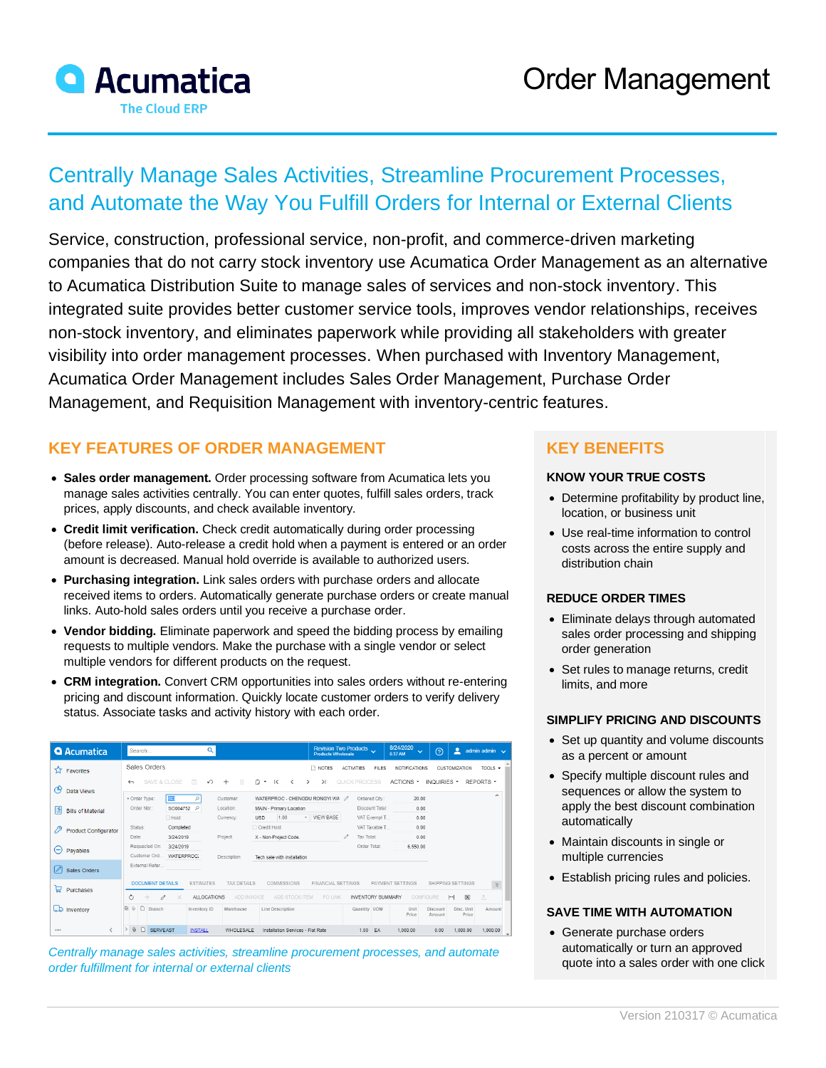

# Centrally Manage Sales Activities, Streamline Procurement Processes, and Automate the Way You Fulfill Orders for Internal or External Clients

Service, construction, professional service, non-profit, and commerce-driven marketing companies that do not carry stock inventory use Acumatica Order Management as an alternative to Acumatica Distribution Suite to manage sales of services and non-stock inventory. This integrated suite provides better customer service tools, improves vendor relationships, receives non-stock inventory, and eliminates paperwork while providing all stakeholders with greater visibility into order management processes. When purchased with Inventory Management, Acumatica Order Management includes Sales Order Management, Purchase Order Management, and Requisition Management with inventory-centric features.

## **KEY FEATURES OF ORDER MANAGEMENT**

- **Sales order management.** Order processing software from Acumatica lets you manage sales activities centrally. You can enter quotes, fulfill sales orders, track prices, apply discounts, and check available inventory.
- **Credit limit verification.** Check credit automatically during order processing (before release). Auto-release a credit hold when a payment is entered or an order amount is decreased. Manual hold override is available to authorized users.
- **Purchasing integration.** Link sales orders with purchase orders and allocate received items to orders. Automatically generate purchase orders or create manual links. Auto-hold sales orders until you receive a purchase order.
- **Vendor bidding.** Eliminate paperwork and speed the bidding process by emailing requests to multiple vendors. Make the purchase with a single vendor or select multiple vendors for different products on the request.
- **CRM integration.** Convert CRM opportunities into sales orders without re-entering pricing and discount information. Quickly locate customer orders to verify delivery status. Associate tasks and activity history with each order.

| <b>Q</b> Acumatica                | $\alpha$<br>Search                                                                                          | <b>Products Wholesale</b>                                  | Revision Two Products                    | 8/24/2020<br>$\ddotmark$<br>6:37 AM | ≗<br>$\odot$<br>admin admin $\sqrt{}$                                     |
|-----------------------------------|-------------------------------------------------------------------------------------------------------------|------------------------------------------------------------|------------------------------------------|-------------------------------------|---------------------------------------------------------------------------|
| <b>A</b> Favorites                | Sales Orders                                                                                                | R NOTES                                                    | <b>ACTIVITIES</b><br><b>FILES</b>        | <b>NOTIFICATIONS</b>                | TOOLS $\sim$<br><b>CUSTOMIZATION</b>                                      |
| ල<br>Data Views                   | 圖<br>SAVE & CLOSE<br>↶<br>$^{+}$<br>俞<br>$\leftarrow$                                                       | n<br>$\mathsf{R}$<br>$\geq$<br>۰<br>$\rightarrow$          | QUICK PROCESS                            | ACTIONS -                           | REPORTS *<br>INQUIRIES *<br>$\sim$                                        |
| 별<br><b>Bills of Material</b>     | <sub>SC</sub><br>* Order Type:<br>Customer:<br>Order Nbr.:<br>SO004752<br>Location:<br>Q                    | WATERPROC - CHENGDU RONGYI WA<br>MAIN - Primary Location   | Ordered Qtv.:<br>1<br>Discount Total:    | 20.00<br>0.00                       |                                                                           |
| 79<br><b>Product Configurator</b> | Hold<br>Currency:<br>Status:<br>Completed                                                                   | <b>VIEW BASE</b><br>1.00<br><b>USD</b><br>٠<br>Credit Hold | VAT Exempt T<br>VAT Taxable T            | 0.00<br>0.00                        |                                                                           |
|                                   | Date:<br>Project<br>3/24/2019<br>Requested On:<br>3/24/2019                                                 | X - Non-Project Code.                                      | Tax Total:<br>Order Total:               | 0.00<br>6.550.00                    |                                                                           |
| $\left( -\right)$<br>Payables     | Customer Ord.<br>WATERPROC:<br>Description:                                                                 | Tech sale with installation                                |                                          |                                     |                                                                           |
| $\mathscr{D}$<br>Sales Orders     | External Refer.                                                                                             |                                                            |                                          |                                     |                                                                           |
| ਥ<br>Purchases                    | <b>DOCUMENT DETAILS</b><br><b>ESTIMATES</b><br><b>TAX DETAILS</b>                                           | <b>COMMISSIONS</b><br><b>FINANCIAL SETTINGS</b>            |                                          | PAYMENT SETTINGS                    | SHIPPING SETTINGS<br>$\hat{\gamma}$                                       |
| ھما<br>Inventory                  | Ò<br>ALLOCATIONS<br>ADD INVOICE<br>0<br>×<br>$\Box$<br>田<br>$\Omega$<br>Branch<br>Warehouse<br>Inventory ID | PO LINK<br>ADD STOCK ITEM<br>Line Description              | <b>INVENTORY SUMMARY</b><br>Quantity UOM | CONFIGURE<br>Unit                   | $\boxed{\mathbf{X}}$<br>$\vdash$<br>土<br>Disc. Unit<br>Discount<br>Amount |
|                                   |                                                                                                             |                                                            |                                          | Price                               | Price<br>Amount                                                           |
|                                   | $\rightarrow$<br>$\omega$<br>D<br><b>SERVEAST</b><br>WHOLESALE<br><b>INSTALL</b>                            | Installation Services - Flat Rate                          | 1.00<br>EA                               | 1.000.00                            | 0.00<br>1,000.00<br>1.000.00                                              |

*Centrally manage sales activities, streamline procurement processes, and automate order fulfillment for internal or external clients*

## **KEY BENEFITS**

#### **KNOW YOUR TRUE COSTS**

- Determine profitability by product line, location, or business unit
- Use real-time information to control costs across the entire supply and distribution chain

#### **REDUCE ORDER TIMES**

- Eliminate delays through automated sales order processing and shipping order generation
- Set rules to manage returns, credit limits, and more

#### **SIMPLIFY PRICING AND DISCOUNTS**

- Set up quantity and volume discounts as a percent or amount
- Specify multiple discount rules and sequences or allow the system to apply the best discount combination automatically
- Maintain discounts in single or multiple currencies
- Establish pricing rules and policies.

#### **SAVE TIME WITH AUTOMATION**

• Generate purchase orders automatically or turn an approved quote into a sales order with one click